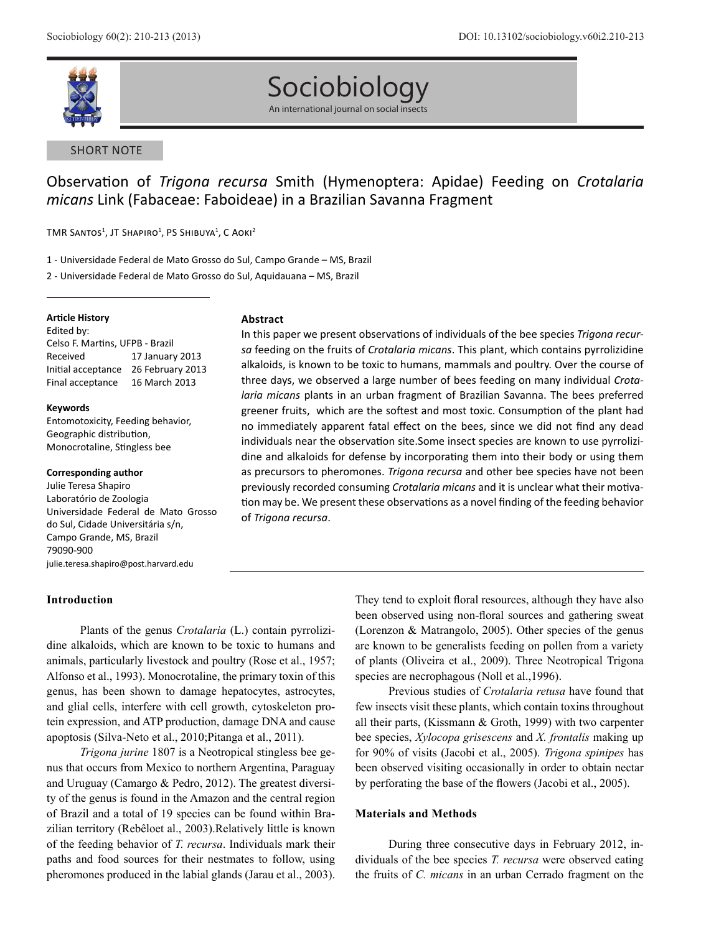

# Sociobiology

An international journal on social insects

# SHORT NOTE

# Observation of *Trigona recursa* Smith (Hymenoptera: Apidae) Feeding on *Crotalaria micans* Link (Fabaceae: Faboideae) in a Brazilian Savanna Fragment

 $\textsf{TMR}$  Santos $^1$ , JT Shapiro $^1$ , PS Shibuya $^1$ , C Aoki $^2$ 

1 - Universidade Federal de Mato Grosso do Sul, Campo Grande – MS, Brazil

2 - Universidade Federal de Mato Grosso do Sul, Aquidauana – MS, Brazil

#### **Article History**

Edited by: Celso F. Martins, UFPB - Brazil Received 17 January 2013 Initial acceptance 26 February 2013 Final acceptance 16 March 2013

#### **Keywords**

Entomotoxicity, Feeding behavior, Geographic distribution, Monocrotaline, Stingless bee

#### **Corresponding author**

Julie Teresa Shapiro Laboratório de Zoologia Universidade Federal de Mato Grosso do Sul, Cidade Universitária s/n, Campo Grande, MS, Brazil 79090-900 julie.teresa.shapiro@post.harvard.edu

## **Introduction**

#### **Abstract**

In this paper we present observations of individuals of the bee species *Trigona recursa* feeding on the fruits of *Crotalaria micans*. This plant, which contains pyrrolizidine alkaloids, is known to be toxic to humans, mammals and poultry. Over the course of three days, we observed a large number of bees feeding on many individual *Crotalaria micans* plants in an urban fragment of Brazilian Savanna. The bees preferred greener fruits, which are the softest and most toxic. Consumption of the plant had no immediately apparent fatal effect on the bees, since we did not find any dead individuals near the observation site.Some insect species are known to use pyrrolizidine and alkaloids for defense by incorporating them into their body or using them as precursors to pheromones. *Trigona recursa* and other bee species have not been previously recorded consuming *Crotalaria micans* and it is unclear what their motivation may be. We present these observations as a novel finding of the feeding behavior of *Trigona recursa*.

Plants of the genus *Crotalaria* (L.) contain pyrrolizidine alkaloids, which are known to be toxic to humans and animals, particularly livestock and poultry (Rose et al., 1957; Alfonso et al., 1993). Monocrotaline, the primary toxin of this genus, has been shown to damage hepatocytes, astrocytes, and glial cells, interfere with cell growth, cytoskeleton protein expression, and ATP production, damage DNA and cause apoptosis (Silva-Neto et al., 2010;Pitanga et al., 2011).

*Trigona jurine* 1807 is a Neotropical stingless bee genus that occurs from Mexico to northern Argentina, Paraguay and Uruguay (Camargo & Pedro, 2012). The greatest diversity of the genus is found in the Amazon and the central region of Brazil and a total of 19 species can be found within Brazilian territory (Rebêloet al., 2003).Relatively little is known of the feeding behavior of *T. recursa*. Individuals mark their paths and food sources for their nestmates to follow, using pheromones produced in the labial glands (Jarau et al., 2003).

They tend to exploit floral resources, although they have also been observed using non-floral sources and gathering sweat (Lorenzon & Matrangolo, 2005). Other species of the genus are known to be generalists feeding on pollen from a variety of plants (Oliveira et al., 2009). Three Neotropical Trigona species are necrophagous (Noll et al.,1996).

Previous studies of *Crotalaria retusa* have found that few insects visit these plants, which contain toxins throughout all their parts, (Kissmann & Groth, 1999) with two carpenter bee species, *Xylocopa grisescens* and *X. frontalis* making up for 90% of visits (Jacobi et al., 2005). *Trigona spinipes* has been observed visiting occasionally in order to obtain nectar by perforating the base of the flowers (Jacobi et al., 2005).

#### **Materials and Methods**

During three consecutive days in February 2012, individuals of the bee species *T. recursa* were observed eating the fruits of *C. micans* in an urban Cerrado fragment on the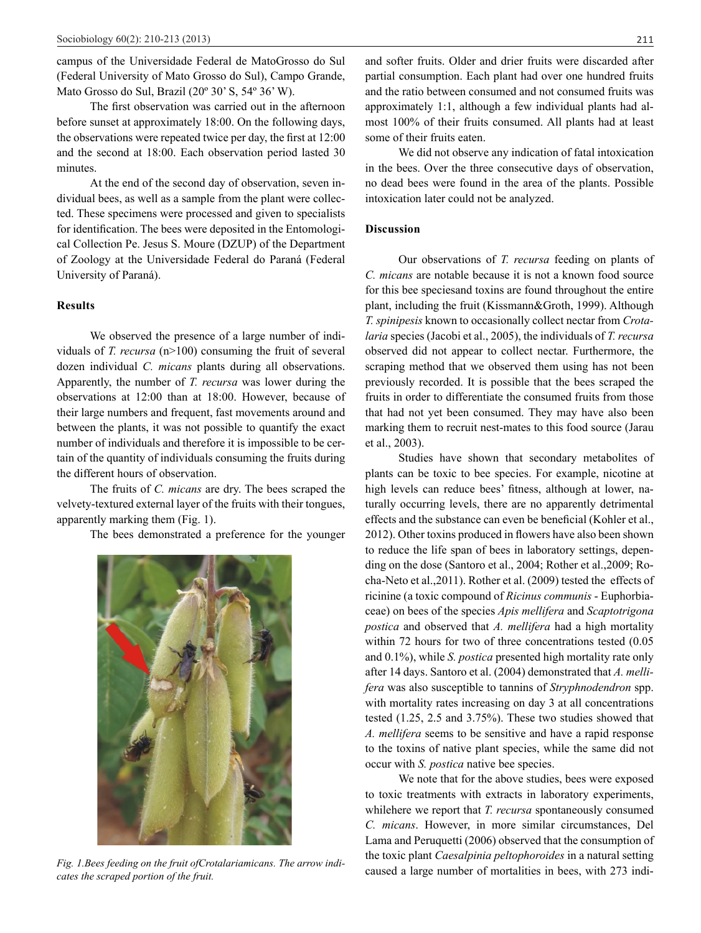campus of the Universidade Federal de MatoGrosso do Sul (Federal University of Mato Grosso do Sul), Campo Grande, Mato Grosso do Sul, Brazil (20º 30' S, 54º 36' W).

The first observation was carried out in the afternoon before sunset at approximately 18:00. On the following days, the observations were repeated twice per day, the first at 12:00 and the second at 18:00. Each observation period lasted 30 minutes.

At the end of the second day of observation, seven individual bees, as well as a sample from the plant were collected. These specimens were processed and given to specialists for identification. The bees were deposited in the Entomological Collection Pe. Jesus S. Moure (DZUP) of the Department of Zoology at the Universidade Federal do Paraná (Federal University of Paraná).

# **Results**

We observed the presence of a large number of individuals of *T. recursa* (n>100) consuming the fruit of several dozen individual *C. micans* plants during all observations. Apparently, the number of *T. recursa* was lower during the observations at 12:00 than at 18:00. However, because of their large numbers and frequent, fast movements around and between the plants, it was not possible to quantify the exact number of individuals and therefore it is impossible to be certain of the quantity of individuals consuming the fruits during the different hours of observation.

The fruits of *C. micans* are dry. The bees scraped the velvety-textured external layer of the fruits with their tongues, apparently marking them (Fig. 1).

The bees demonstrated a preference for the younger



*cates the scraped portion of the fruit.* 

and softer fruits. Older and drier fruits were discarded after partial consumption. Each plant had over one hundred fruits and the ratio between consumed and not consumed fruits was approximately 1:1, although a few individual plants had almost 100% of their fruits consumed. All plants had at least some of their fruits eaten.

We did not observe any indication of fatal intoxication in the bees. Over the three consecutive days of observation, no dead bees were found in the area of the plants. Possible intoxication later could not be analyzed.

#### **Discussion**

Our observations of *T. recursa* feeding on plants of *C. micans* are notable because it is not a known food source for this bee speciesand toxins are found throughout the entire plant, including the fruit (Kissmann&Groth, 1999). Although *T. spinipesis* known to occasionally collect nectar from *Crotalaria* species (Jacobi et al., 2005), the individuals of *T. recursa*  observed did not appear to collect nectar. Furthermore, the scraping method that we observed them using has not been previously recorded. It is possible that the bees scraped the fruits in order to differentiate the consumed fruits from those that had not yet been consumed. They may have also been marking them to recruit nest-mates to this food source (Jarau et al., 2003).

Studies have shown that secondary metabolites of plants can be toxic to bee species. For example, nicotine at high levels can reduce bees' fitness, although at lower, naturally occurring levels, there are no apparently detrimental effects and the substance can even be beneficial (Kohler et al., 2012). Other toxins produced in flowers have also been shown to reduce the life span of bees in laboratory settings, depending on the dose (Santoro et al., 2004; Rother et al.,2009; Rocha-Neto et al.,2011). Rother et al. (2009) tested the effects of ricinine (a toxic compound of *Ricinus communis* - Euphorbiaceae) on bees of the species *Apis mellifera* and *Scaptotrigona postica* and observed that *A. mellifera* had a high mortality within 72 hours for two of three concentrations tested (0.05 and 0.1%), while *S. postica* presented high mortality rate only after 14 days. Santoro et al. (2004) demonstrated that *A. mellifera* was also susceptible to tannins of *Stryphnodendron* spp. with mortality rates increasing on day 3 at all concentrations tested (1.25, 2.5 and 3.75%). These two studies showed that *A. mellifera* seems to be sensitive and have a rapid response to the toxins of native plant species, while the same did not occur with *S. postica* native bee species.

We note that for the above studies, bees were exposed to toxic treatments with extracts in laboratory experiments, whilehere we report that *T. recursa* spontaneously consumed *C. micans*. However, in more similar circumstances, Del Lama and Peruquetti (2006) observed that the consumption of the toxic plant *Caesalpinia peltophoroides* in a natural setting Fig. 1.Bees feeding on the fruit ofCrotalariamicans. The arrow indi-<br>caused a large number of mortalities in bees, with 273 indi-<br>external personal neutrin of the facts.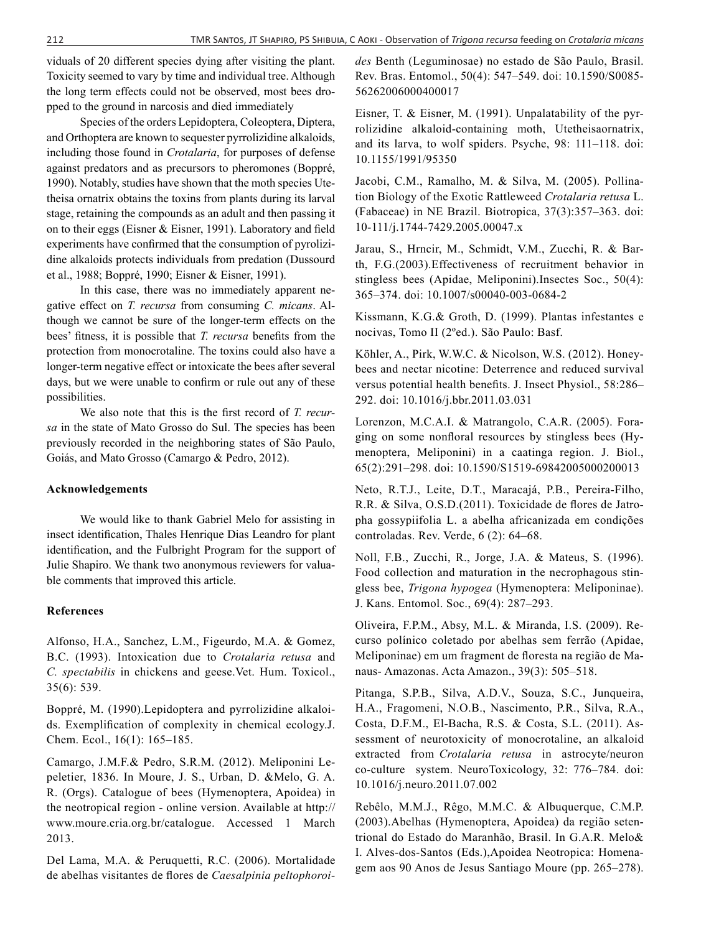viduals of 20 different species dying after visiting the plant. Toxicity seemed to vary by time and individual tree. Although the long term effects could not be observed, most bees dropped to the ground in narcosis and died immediately

Species of the orders Lepidoptera, Coleoptera, Diptera, and Orthoptera are known to sequester pyrrolizidine alkaloids, including those found in *Crotalaria*, for purposes of defense against predators and as precursors to pheromones (Boppré, 1990). Notably, studies have shown that the moth species Utetheisa ornatrix obtains the toxins from plants during its larval stage, retaining the compounds as an adult and then passing it on to their eggs (Eisner & Eisner, 1991). Laboratory and field experiments have confirmed that the consumption of pyrolizidine alkaloids protects individuals from predation (Dussourd et al., 1988; Boppré, 1990; Eisner & Eisner, 1991).

In this case, there was no immediately apparent negative effect on *T. recursa* from consuming *C. micans*. Although we cannot be sure of the longer-term effects on the bees' fitness, it is possible that *T. recursa* benefits from the protection from monocrotaline. The toxins could also have a longer-term negative effect or intoxicate the bees after several days, but we were unable to confirm or rule out any of these possibilities.

We also note that this is the first record of *T. recursa* in the state of Mato Grosso do Sul. The species has been previously recorded in the neighboring states of São Paulo, Goiás, and Mato Grosso (Camargo & Pedro, 2012).

# **Acknowledgements**

We would like to thank Gabriel Melo for assisting in insect identification, Thales Henrique Dias Leandro for plant identification, and the Fulbright Program for the support of Julie Shapiro. We thank two anonymous reviewers for valuable comments that improved this article.

## **References**

Alfonso, H.A., Sanchez, L.M., Figeurdo, M.A. & Gomez, B.C. (1993). Intoxication due to *Crotalaria retusa* and *C. spectabilis* in chickens and geese.Vet. Hum. Toxicol., 35(6): 539.

Boppré, M. (1990).Lepidoptera and pyrrolizidine alkaloids. Exemplification of complexity in chemical ecology.J. Chem. Ecol., 16(1): 165–185.

Camargo, J.M.F.& Pedro, S.R.M. (2012). Meliponini Lepeletier, 1836. In Moure, J. S., Urban, D. &Melo, G. A. R. (Orgs). Catalogue of bees (Hymenoptera, Apoidea) in the neotropical region - online version. Available at http:// www.moure.cria.org.br/catalogue. Accessed 1 March 2013.

Del Lama, M.A. & Peruquetti, R.C. (2006). Mortalidade de abelhas visitantes de flores de *Caesalpinia peltophoroi-* *des* Benth (Leguminosae) no estado de São Paulo, Brasil. Rev. Bras. Entomol., 50(4): 547–549. doi: 10.1590/S0085- 56262006000400017

Eisner, T. & Eisner, M. (1991). Unpalatability of the pyrrolizidine alkaloid-containing moth, Utetheisaornatrix, and its larva, to wolf spiders. Psyche, 98: 111–118. doi: 10.1155/1991/95350

Jacobi, C.M., Ramalho, M. & Silva, M. (2005). Pollination Biology of the Exotic Rattleweed *Crotalaria retusa* L. (Fabaceae) in NE Brazil. Biotropica, 37(3):357–363. doi: 10-111/j.1744-7429.2005.00047.x

Jarau, S., Hrncir, M., Schmidt, V.M., Zucchi, R. & Barth, F.G.(2003).Effectiveness of recruitment behavior in stingless bees (Apidae, Meliponini).Insectes Soc., 50(4): 365–374. doi: 10.1007/s00040-003-0684-2

Kissmann, K.G.& Groth, D. (1999). Plantas infestantes e nocivas, Tomo II (2ºed.). São Paulo: Basf.

Köhler, A., Pirk, W.W.C. & Nicolson, W.S. (2012). Honeybees and nectar nicotine: Deterrence and reduced survival versus potential health benefits. J. Insect Physiol., 58:286– 292. doi: 10.1016/j.bbr.2011.03.031

Lorenzon, M.C.A.I. & Matrangolo, C.A.R. (2005). Foraging on some nonfloral resources by stingless bees (Hymenoptera, Meliponini) in a caatinga region. J. Biol., 65(2):291–298. doi: 10.1590/S1519-69842005000200013

Neto, R.T.J., Leite, D.T., Maracajá, P.B., Pereira-Filho, R.R. & Silva, O.S.D.(2011). Toxicidade de flores de Jatropha gossypiifolia L. a abelha africanizada em condições controladas. Rev. Verde, 6 (2): 64–68.

Noll, F.B., Zucchi, R., Jorge, J.A. & Mateus, S. (1996). Food collection and maturation in the necrophagous stingless bee, *Trigona hypogea* (Hymenoptera: Meliponinae). J. Kans. Entomol. Soc., 69(4): 287–293.

Oliveira, F.P.M., Absy, M.L. & Miranda, I.S. (2009). Recurso polínico coletado por abelhas sem ferrão (Apidae, Meliponinae) em um fragment de floresta na região de Manaus- Amazonas. Acta Amazon., 39(3): 505–518.

Pitanga, S.P.B., Silva, A.D.V., Souza, S.C., Junqueira, H.A., Fragomeni, N.O.B., Nascimento, P.R., Silva, R.A., Costa, D.F.M., El-Bacha, R.S. & Costa, S.L. (2011). Assessment of neurotoxicity of monocrotaline, an alkaloid extracted from *Crotalaria retusa* in astrocyte/neuron co-culture system. NeuroToxicology, 32: 776–784. doi: 10.1016/j.neuro.2011.07.002

Rebêlo, M.M.J., Rêgo, M.M.C. & Albuquerque, C.M.P. (2003).Abelhas (Hymenoptera, Apoidea) da região setentrional do Estado do Maranhão, Brasil. In G.A.R. Melo& I. Alves-dos-Santos (Eds.),Apoidea Neotropica: Homenagem aos 90 Anos de Jesus Santiago Moure (pp. 265–278).